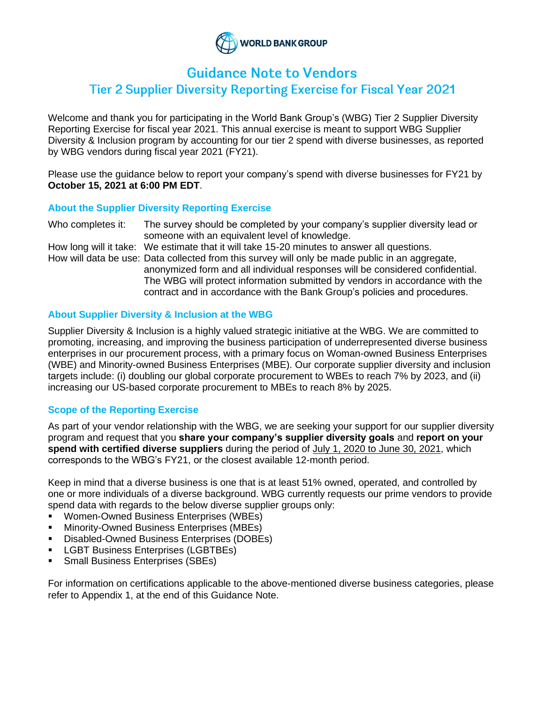

# **Guidance Note to Vendors**

## Tier 2 Supplier Diversity Reporting Exercise for Fiscal Year 2021

Welcome and thank you for participating in the World Bank Group's (WBG) Tier 2 Supplier Diversity Reporting Exercise for fiscal year 2021. This annual exercise is meant to support WBG Supplier Diversity & Inclusion program by accounting for our tier 2 spend with diverse businesses, as reported by WBG vendors during fiscal year 2021 (FY21).

Please use the guidance below to report your company's spend with diverse businesses for FY21 by **October 15, 2021 at 6:00 PM EDT**.

#### **About the Supplier Diversity Reporting Exercise**

Who completes it: The survey should be completed by your company's supplier diversity lead or someone with an equivalent level of knowledge.

How long will it take: We estimate that it will take 15-20 minutes to answer all questions. How will data be use: Data collected from this survey will only be made public in an aggregate, anonymized form and all individual responses will be considered confidential. The WBG will protect information submitted by vendors in accordance with the contract and in accordance with the Bank Group's policies and procedures.

#### **About Supplier Diversity & Inclusion at the WBG**

Supplier Diversity & Inclusion is a highly valued strategic initiative at the WBG. We are committed to promoting, increasing, and improving the business participation of underrepresented diverse business enterprises in our procurement process, with a primary focus on Woman-owned Business Enterprises (WBE) and Minority-owned Business Enterprises (MBE). Our corporate supplier diversity and inclusion targets include: (i) doubling our global corporate procurement to WBEs to reach 7% by 2023, and (ii) increasing our US-based corporate procurement to MBEs to reach 8% by 2025.

#### **Scope of the Reporting Exercise**

As part of your vendor relationship with the WBG, we are seeking your support for our supplier diversity program and request that you **share your company's supplier diversity goals** and **report on your spend with certified diverse suppliers** during the period of July 1, 2020 to June 30, 2021, which corresponds to the WBG's FY21, or the closest available 12-month period.

Keep in mind that a diverse business is one that is at least 51% owned, operated, and controlled by one or more individuals of a diverse background. WBG currently requests our prime vendors to provide spend data with regards to the below diverse supplier groups only:

- Women-Owned Business Enterprises (WBEs)
- **Minority-Owned Business Enterprises (MBEs)**
- Disabled-Owned Business Enterprises (DOBEs)
- **LGBT Business Enterprises (LGBTBEs)**
- **Small Business Enterprises (SBEs)**

For information on certifications applicable to the above-mentioned diverse business categories, please refer to Appendix 1, at the end of this Guidance Note.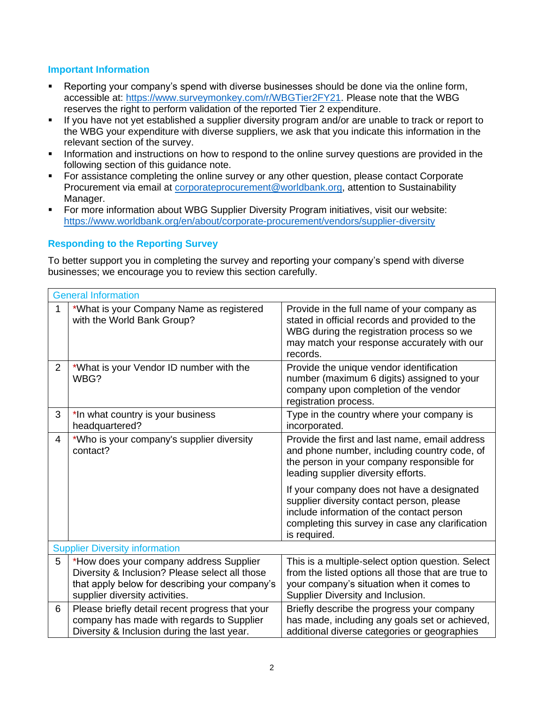#### **Important Information**

- Reporting your company's spend with diverse businesses should be done via the online form, accessible at: [https://www.surveymonkey.com/r/WBGTier2FY21.](https://www.surveymonkey.com/r/WBGTier2FY21) Please note that the WBG reserves the right to perform validation of the reported Tier 2 expenditure.
- If you have not yet established a supplier diversity program and/or are unable to track or report to the WBG your expenditure with diverse suppliers, we ask that you indicate this information in the relevant section of the survey.
- **•** Information and instructions on how to respond to the online survey questions are provided in the following section of this guidance note.
- For assistance completing the online survey or any other question, please contact Corporate Procurement via email at [corporateprocurement@worldbank.org,](mailto:corporateprocurement@worldbank.org) attention to Sustainability Manager.
- For more information about WBG Supplier Diversity Program initiatives, visit our website: <https://www.worldbank.org/en/about/corporate-procurement/vendors/supplier-diversity>

#### **Responding to the Reporting Survey**

To better support you in completing the survey and reporting your company's spend with diverse businesses; we encourage you to review this section carefully.

|                | <b>General Information</b>                                                                                                                                                    |                                                                                                                                                                                                          |  |
|----------------|-------------------------------------------------------------------------------------------------------------------------------------------------------------------------------|----------------------------------------------------------------------------------------------------------------------------------------------------------------------------------------------------------|--|
| 1              | *What is your Company Name as registered<br>with the World Bank Group?                                                                                                        | Provide in the full name of your company as<br>stated in official records and provided to the<br>WBG during the registration process so we<br>may match your response accurately with our<br>records.    |  |
| $\overline{2}$ | *What is your Vendor ID number with the<br>WBG?                                                                                                                               | Provide the unique vendor identification<br>number (maximum 6 digits) assigned to your<br>company upon completion of the vendor<br>registration process.                                                 |  |
| 3              | *In what country is your business<br>headquartered?                                                                                                                           | Type in the country where your company is<br>incorporated.                                                                                                                                               |  |
| 4              | *Who is your company's supplier diversity<br>contact?                                                                                                                         | Provide the first and last name, email address<br>and phone number, including country code, of<br>the person in your company responsible for<br>leading supplier diversity efforts.                      |  |
|                |                                                                                                                                                                               | If your company does not have a designated<br>supplier diversity contact person, please<br>include information of the contact person<br>completing this survey in case any clarification<br>is required. |  |
|                | <b>Supplier Diversity information</b>                                                                                                                                         |                                                                                                                                                                                                          |  |
| 5              | *How does your company address Supplier<br>Diversity & Inclusion? Please select all those<br>that apply below for describing your company's<br>supplier diversity activities. | This is a multiple-select option question. Select<br>from the listed options all those that are true to<br>your company's situation when it comes to<br>Supplier Diversity and Inclusion.                |  |
| 6              | Please briefly detail recent progress that your<br>company has made with regards to Supplier<br>Diversity & Inclusion during the last year.                                   | Briefly describe the progress your company<br>has made, including any goals set or achieved,<br>additional diverse categories or geographies                                                             |  |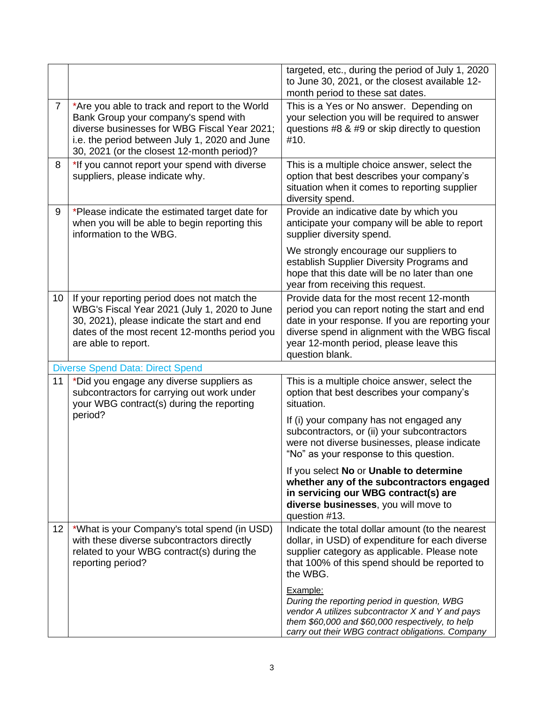|                |                                                                                                                                                                                                                                       | targeted, etc., during the period of July 1, 2020<br>to June 30, 2021, or the closest available 12-<br>month period to these sat dates.                                                                                                                         |
|----------------|---------------------------------------------------------------------------------------------------------------------------------------------------------------------------------------------------------------------------------------|-----------------------------------------------------------------------------------------------------------------------------------------------------------------------------------------------------------------------------------------------------------------|
| $\overline{7}$ | *Are you able to track and report to the World<br>Bank Group your company's spend with<br>diverse businesses for WBG Fiscal Year 2021;<br>i.e. the period between July 1, 2020 and June<br>30, 2021 (or the closest 12-month period)? | This is a Yes or No answer. Depending on<br>your selection you will be required to answer<br>questions #8 & #9 or skip directly to question<br>#10.                                                                                                             |
| 8              | *If you cannot report your spend with diverse<br>suppliers, please indicate why.                                                                                                                                                      | This is a multiple choice answer, select the<br>option that best describes your company's<br>situation when it comes to reporting supplier<br>diversity spend.                                                                                                  |
| 9              | *Please indicate the estimated target date for<br>when you will be able to begin reporting this<br>information to the WBG.                                                                                                            | Provide an indicative date by which you<br>anticipate your company will be able to report<br>supplier diversity spend.                                                                                                                                          |
|                |                                                                                                                                                                                                                                       | We strongly encourage our suppliers to<br>establish Supplier Diversity Programs and<br>hope that this date will be no later than one<br>year from receiving this request.                                                                                       |
| 10             | If your reporting period does not match the<br>WBG's Fiscal Year 2021 (July 1, 2020 to June<br>30, 2021), please indicate the start and end<br>dates of the most recent 12-months period you<br>are able to report.                   | Provide data for the most recent 12-month<br>period you can report noting the start and end<br>date in your response. If you are reporting your<br>diverse spend in alignment with the WBG fiscal<br>year 12-month period, please leave this<br>question blank. |
|                | <b>Diverse Spend Data: Direct Spend</b>                                                                                                                                                                                               |                                                                                                                                                                                                                                                                 |
| 11             | *Did you engage any diverse suppliers as<br>subcontractors for carrying out work under<br>your WBG contract(s) during the reporting<br>period?                                                                                        | This is a multiple choice answer, select the<br>option that best describes your company's<br>situation.                                                                                                                                                         |
|                |                                                                                                                                                                                                                                       | If (i) your company has not engaged any<br>subcontractors, or (ii) your subcontractors<br>were not diverse businesses, please indicate<br>"No" as your response to this question.                                                                               |
|                |                                                                                                                                                                                                                                       | If you select No or Unable to determine<br>whether any of the subcontractors engaged<br>in servicing our WBG contract(s) are<br>diverse businesses, you will move to<br>question #13.                                                                           |
| 12             | *What is your Company's total spend (in USD)<br>with these diverse subcontractors directly<br>related to your WBG contract(s) during the<br>reporting period?                                                                         | Indicate the total dollar amount (to the nearest<br>dollar, in USD) of expenditure for each diverse<br>supplier category as applicable. Please note<br>that 100% of this spend should be reported to<br>the WBG.                                                |
|                |                                                                                                                                                                                                                                       | Example:<br>During the reporting period in question, WBG<br>vendor A utilizes subcontractor X and Y and pays<br>them \$60,000 and \$60,000 respectively, to help<br>carry out their WBG contract obligations. Company                                           |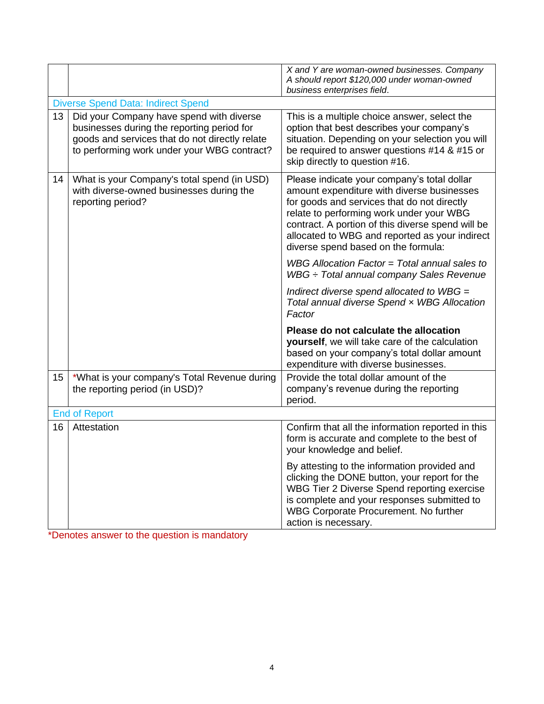|    |                                                                                                                                                                                         | X and Y are woman-owned businesses. Company<br>A should report \$120,000 under woman-owned<br>business enterprises field.                                                                                                                                                                                                          |
|----|-----------------------------------------------------------------------------------------------------------------------------------------------------------------------------------------|------------------------------------------------------------------------------------------------------------------------------------------------------------------------------------------------------------------------------------------------------------------------------------------------------------------------------------|
|    | <b>Diverse Spend Data: Indirect Spend</b>                                                                                                                                               |                                                                                                                                                                                                                                                                                                                                    |
| 13 | Did your Company have spend with diverse<br>businesses during the reporting period for<br>goods and services that do not directly relate<br>to performing work under your WBG contract? | This is a multiple choice answer, select the<br>option that best describes your company's<br>situation. Depending on your selection you will<br>be required to answer questions #14 & #15 or<br>skip directly to question #16.                                                                                                     |
| 14 | What is your Company's total spend (in USD)<br>with diverse-owned businesses during the<br>reporting period?                                                                            | Please indicate your company's total dollar<br>amount expenditure with diverse businesses<br>for goods and services that do not directly<br>relate to performing work under your WBG<br>contract. A portion of this diverse spend will be<br>allocated to WBG and reported as your indirect<br>diverse spend based on the formula: |
|    |                                                                                                                                                                                         | WBG Allocation Factor = Total annual sales to<br>$WBG \div Total$ annual company Sales Revenue                                                                                                                                                                                                                                     |
|    |                                                                                                                                                                                         | Indirect diverse spend allocated to $WBG =$<br>Total annual diverse Spend x WBG Allocation<br>Factor                                                                                                                                                                                                                               |
|    |                                                                                                                                                                                         | Please do not calculate the allocation<br>yourself, we will take care of the calculation<br>based on your company's total dollar amount<br>expenditure with diverse businesses.                                                                                                                                                    |
| 15 | *What is your company's Total Revenue during<br>the reporting period (in USD)?                                                                                                          | Provide the total dollar amount of the<br>company's revenue during the reporting<br>period.                                                                                                                                                                                                                                        |
|    | <b>End of Report</b>                                                                                                                                                                    |                                                                                                                                                                                                                                                                                                                                    |
| 16 | Attestation                                                                                                                                                                             | Confirm that all the information reported in this<br>form is accurate and complete to the best of<br>your knowledge and belief.                                                                                                                                                                                                    |
|    |                                                                                                                                                                                         | By attesting to the information provided and<br>clicking the DONE button, your report for the<br>WBG Tier 2 Diverse Spend reporting exercise<br>is complete and your responses submitted to<br>WBG Corporate Procurement. No further<br>action is necessary.                                                                       |

\*Denotes answer to the question is mandatory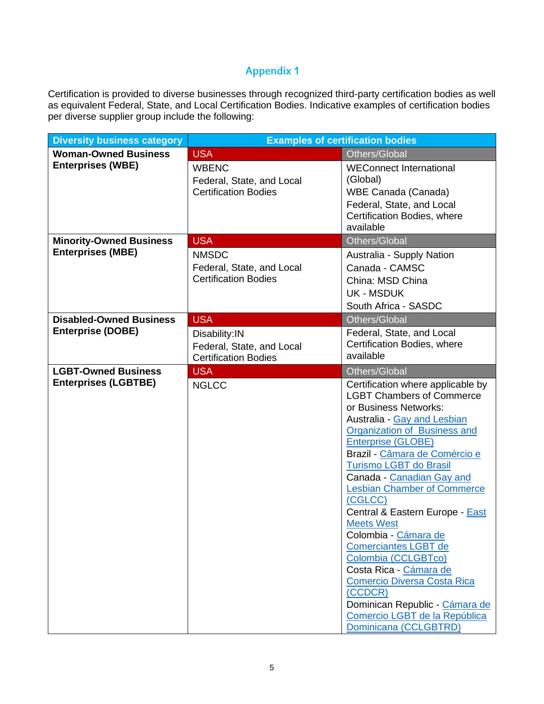### **Appendix 1**

Certification is provided to diverse businesses through recognized third-party certification bodies as well as equivalent Federal, State, and Local Certification Bodies. Indicative examples of certification bodies per diverse supplier group include the following:

| <b>Diversity business category</b> |                             | <b>Examples of certification bodies</b>                            |
|------------------------------------|-----------------------------|--------------------------------------------------------------------|
| <b>Woman-Owned Business</b>        | <b>USA</b>                  | Others/Global                                                      |
| <b>Enterprises (WBE)</b>           | <b>WBENC</b>                | <b>WEConnect International</b>                                     |
|                                    | Federal, State, and Local   | (Global)                                                           |
|                                    | <b>Certification Bodies</b> | WBE Canada (Canada)                                                |
|                                    |                             | Federal, State, and Local                                          |
|                                    |                             | Certification Bodies, where                                        |
|                                    |                             | available                                                          |
| <b>Minority-Owned Business</b>     | <b>USA</b>                  | Others/Global                                                      |
| <b>Enterprises (MBE)</b>           | <b>NMSDC</b>                | Australia - Supply Nation                                          |
|                                    | Federal, State, and Local   | Canada - CAMSC                                                     |
|                                    | <b>Certification Bodies</b> | China: MSD China                                                   |
|                                    |                             | <b>UK - MSDUK</b>                                                  |
|                                    |                             | South Africa - SASDC                                               |
| <b>Disabled-Owned Business</b>     | <b>USA</b>                  | Others/Global                                                      |
| <b>Enterprise (DOBE)</b>           | Disability: IN              | Federal, State, and Local                                          |
|                                    | Federal, State, and Local   | Certification Bodies, where                                        |
|                                    | <b>Certification Bodies</b> | available                                                          |
| <b>LGBT-Owned Business</b>         | <b>USA</b>                  | Others/Global                                                      |
| <b>Enterprises (LGBTBE)</b>        | <b>NGLCC</b>                | Certification where applicable by                                  |
|                                    |                             | <b>LGBT Chambers of Commerce</b>                                   |
|                                    |                             | or Business Networks:                                              |
|                                    |                             | Australia - Gay and Lesbian<br><b>Organization of Business and</b> |
|                                    |                             | <b>Enterprise (GLOBE)</b>                                          |
|                                    |                             | Brazil - Câmara de Comércio e                                      |
|                                    |                             | Turismo LGBT do Brasil                                             |
|                                    |                             | Canada - Canadian Gay and                                          |
|                                    |                             | <b>Lesbian Chamber of Commerce</b>                                 |
|                                    |                             | (CGLCC)                                                            |
|                                    |                             | Central & Eastern Europe - East                                    |
|                                    |                             | <b>Meets West</b>                                                  |
|                                    |                             | Colombia - Cámara de<br><b>Comerciantes LGBT de</b>                |
|                                    |                             | Colombia (CCLGBTco)                                                |
|                                    |                             | Costa Rica - Cámara de                                             |
|                                    |                             | <b>Comercio Diversa Costa Rica</b>                                 |
|                                    |                             | (CCDCR)                                                            |
|                                    |                             | Dominican Republic - Cámara de                                     |
|                                    |                             | Comercio LGBT de la República                                      |
|                                    |                             | Dominicana (CCLGBTRD)                                              |